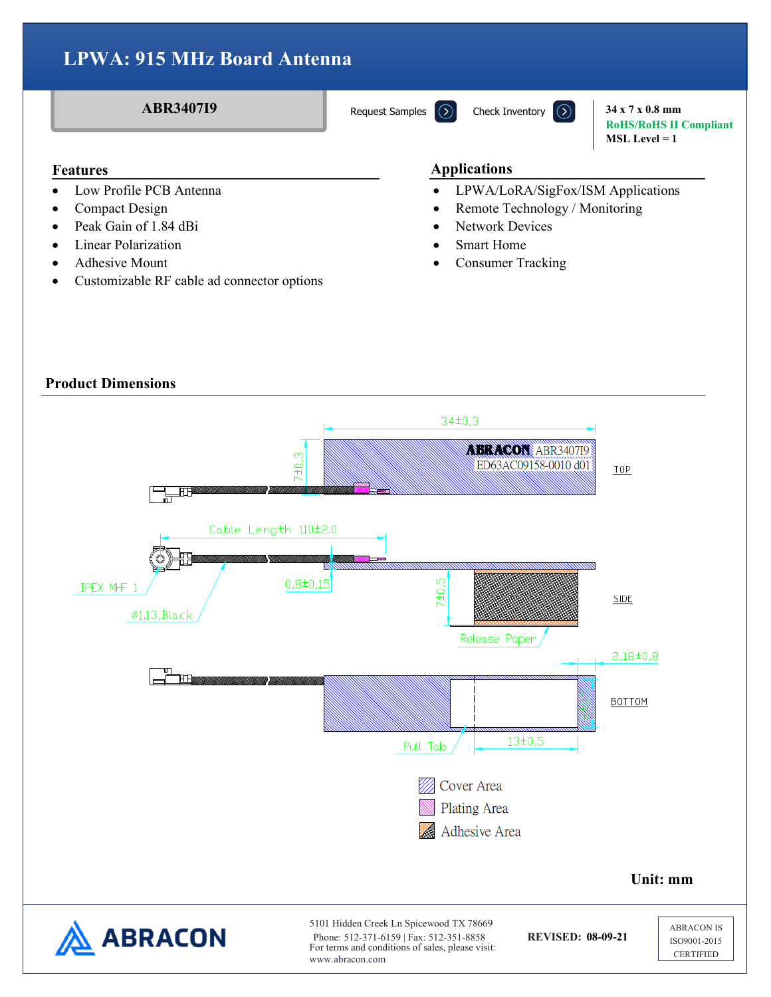**ABR3407I9 34 x 7 x 0.8 mm RoHS/RoHS II Compliant MSL Level = 1**

- Low Profile PCB Antenna
- Compact Design
- Peak Gain of 1.84 dBi
- Linear Polarization
- Adhesive Mount
- Customizable RF cable ad connector options

### **Features Applications**

- LPWA/LoRA/SigFox/ISM Applications
- Remote Technology / Monitoring
- Network Devices
- **Smart Home**
- Consumer Tracking

## **Product Dimensions**

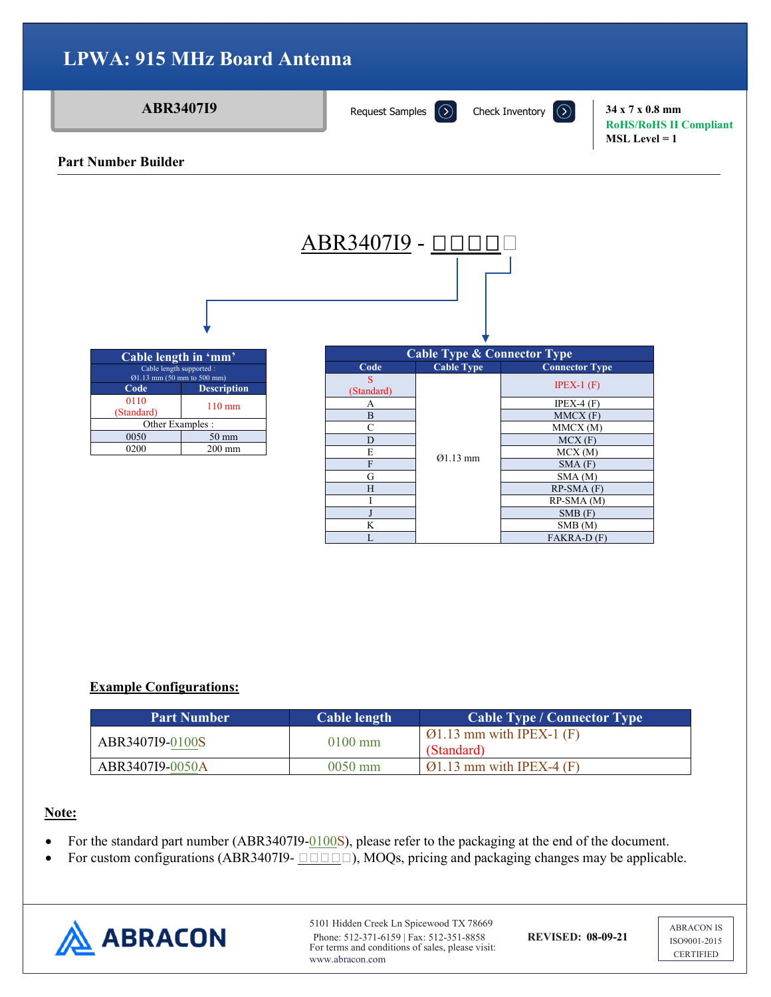

## **Example Configurations:**

| <b>Part Number</b> | Cable length      | Cable Type / Connector Type                         |
|--------------------|-------------------|-----------------------------------------------------|
| ABR3407I9-0100S    | $0100 \text{ mm}$ | $\varnothing$ 1.13 mm with IPEX-1 (F)<br>(Standard) |
| ABR3407I9-0050A    | $0050$ mm         | $\varnothing$ 1.13 mm with IPEX-4 (F)               |

## **Note:**

- For the standard part number (ABR3407I9-0100S), please refer to the packaging at the end of the document.
- For custom configurations (ABR3407I9- $\Box$  $\Box$  $\Box$ ), MOQs, pricing and packaging changes may be applicable.



5101 Hidden Creek Ln Spicewood TX 78669 Phone: 512-371-6159 | Fax: 512-351-8858 **REVISED: 08-09-21** For terms and conditions of sales, please visit: www.abracon.com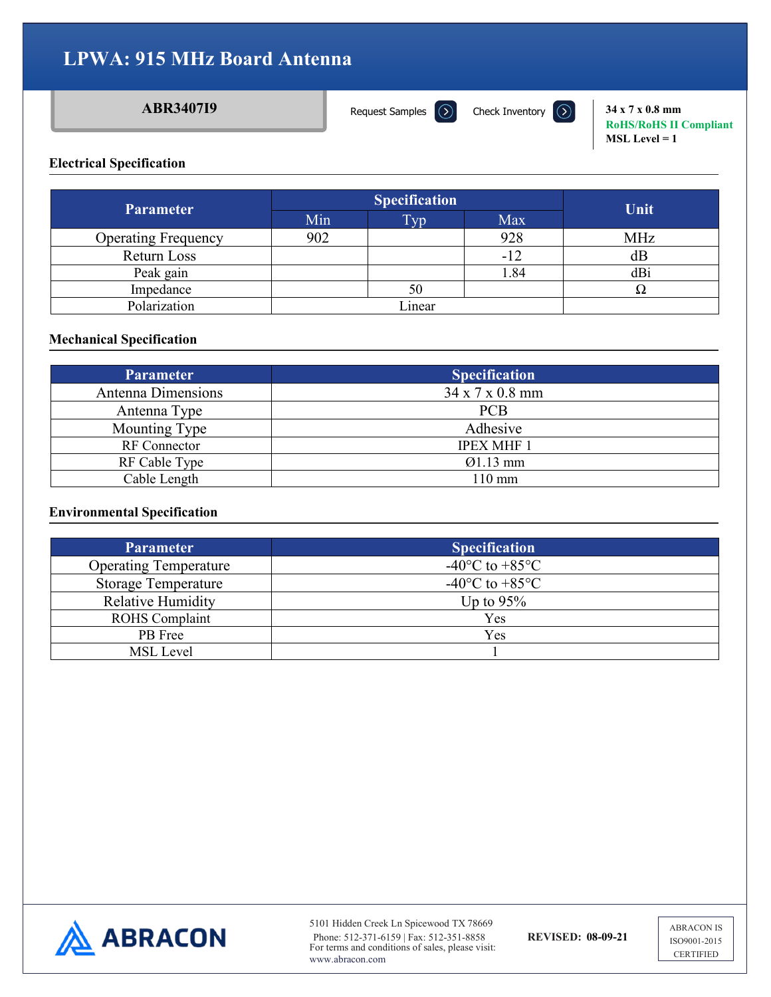[Request Samples](https://www.abraconlink.com/samplelink/samplerequest.php)  $\Omega$ 

**ABR3407I9 34 x 7 x 0.8 mm**<br>**Request Samples**  $\overline{)}$  **Check Inventory**  $\overline{)}$  **34 x 7 x 0.8 mm RoHS/RoHS II Compliant MSL Level = 1**

### **Electrical Specification**

| <b>Parameter</b>           |     | <b>Specification</b> | Unit  |            |
|----------------------------|-----|----------------------|-------|------------|
|                            | Min | Typ.                 | Max   |            |
| <b>Operating Frequency</b> | 902 |                      | 928   | <b>MHz</b> |
| Return Loss                |     |                      | $-12$ | dВ         |
| Peak gain                  |     |                      | 1.84  | dBi        |
| Impedance                  |     | 50                   |       | 77         |
| Polarization               |     | Linear               |       |            |

### **Mechanical Specification**

| <b>Parameter</b>    | <b>Specification</b> |  |  |  |  |  |
|---------------------|----------------------|--|--|--|--|--|
| Antenna Dimensions  | 34 x 7 x 0.8 mm      |  |  |  |  |  |
| Antenna Type        | <b>PCB</b>           |  |  |  |  |  |
| Mounting Type       | Adhesive             |  |  |  |  |  |
| <b>RF</b> Connector | <b>IPEX MHF 1</b>    |  |  |  |  |  |
| RF Cable Type       | $Q1.13$ mm           |  |  |  |  |  |
| Cable Length        | 110 mm               |  |  |  |  |  |

### **Environmental Specification**

| <b>Parameter</b>             | <b>Specification</b>                         |
|------------------------------|----------------------------------------------|
| <b>Operating Temperature</b> | -40 $\rm{^{\circ}C}$ to +85 $\rm{^{\circ}C}$ |
| <b>Storage Temperature</b>   | -40 $\rm{^{\circ}C}$ to +85 $\rm{^{\circ}C}$ |
| <b>Relative Humidity</b>     | Up to $95\%$                                 |
| <b>ROHS</b> Complaint        | Yes                                          |
| PB Free                      | Yes                                          |
| <b>MSL</b> Level             |                                              |



5101 Hidden Creek Ln Spicewood TX 78669 Phone: 512-371-6159 | Fax: 512-351-8858 **REVISED: 08-09-21** For terms and conditions of sales, please visit: www.abracon.com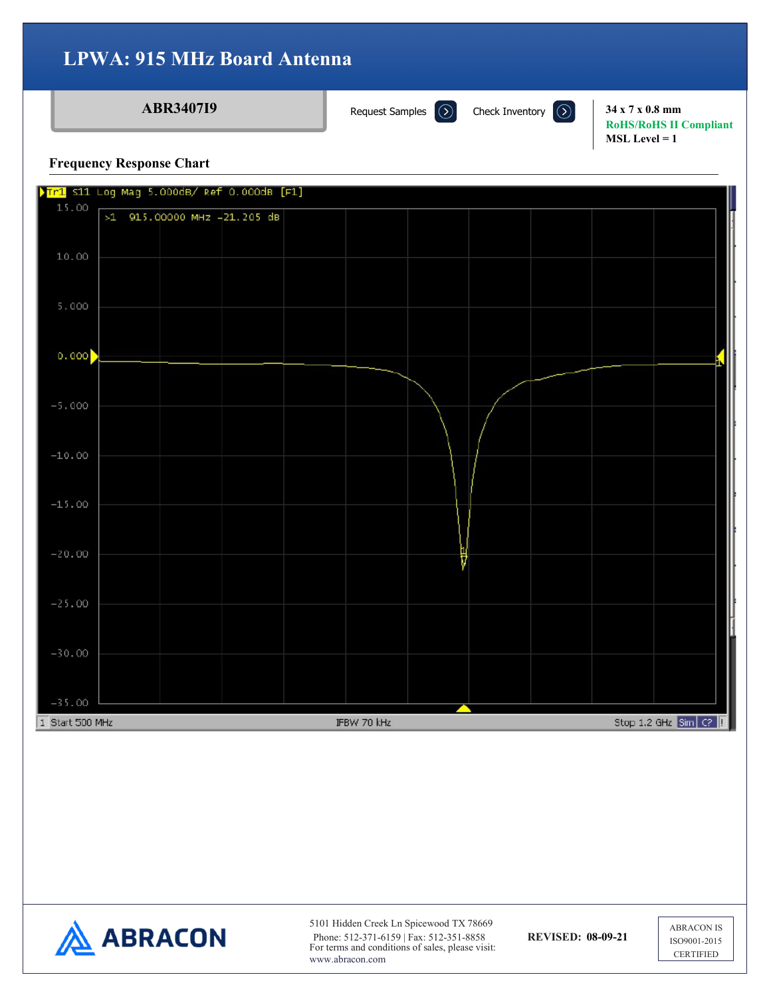**ABR3407I9 34 x 7 x 0.8 mm RoHS/RoHS II Compliant MSL Level = 1**

#### **Frequency Response Chart**





5101 Hidden Creek Ln Spicewood TX 78669 Phone: 512-371-6159 | Fax: 512-351-8858 **REVISED: 08-09-21** For terms and conditions of sales, please visit: www.abracon.com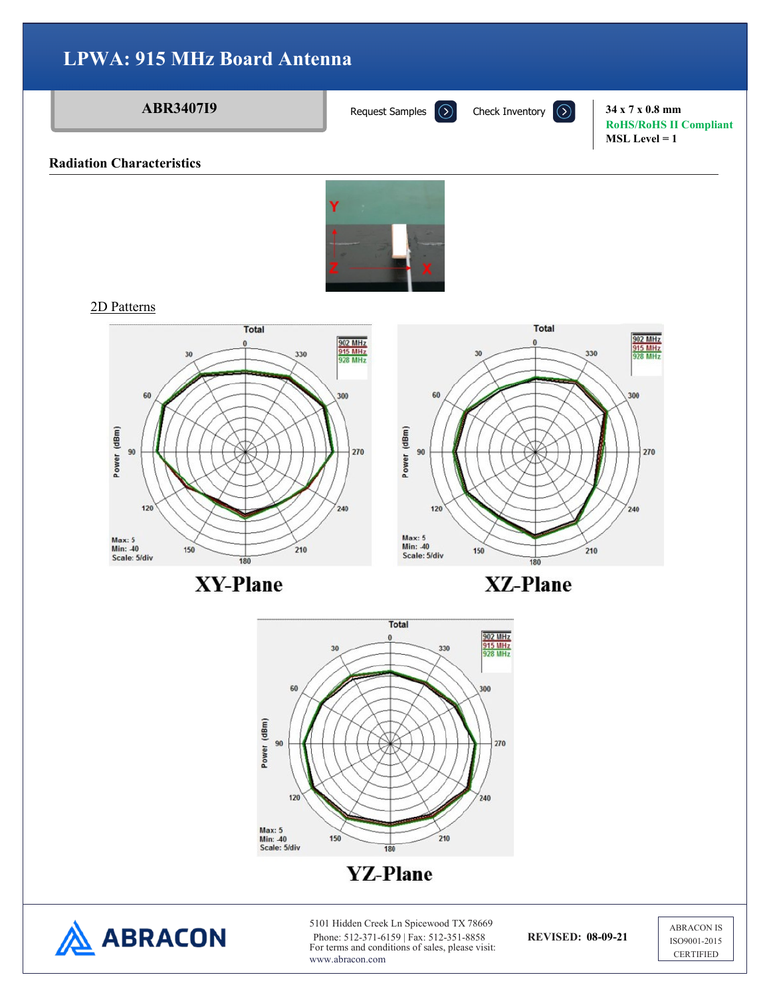#### **ABR3407I9 34 x 7 x 0.8 mm RoHS/RoHS II Compliant MSL Level = 1 Radiation Characteristics**2D Patterns **Total** Total 902 MHz 902 MHz<br>915 MHz<br>928 MHz 0 Ô 915 MHz<br>928 MHz 30 330  $30$ 330 60 60 300 300 Power (dBm) Power (dBm) 90 270 90 270 120 240 120 240

**XY-Plane** 

180

 $210$ 

150



210

150



Max: 5<br>Min: 40<br>Scale: 5/div



Max: 5<br>Min: -40

Scale: 5/div

5101 Hidden Creek Ln Spicewood TX 78669 Phone: 512-371-6159 | Fax: 512-351-8858 **REVISED: 08-09-21** For terms and conditions of sales, please visit: www.abracon.com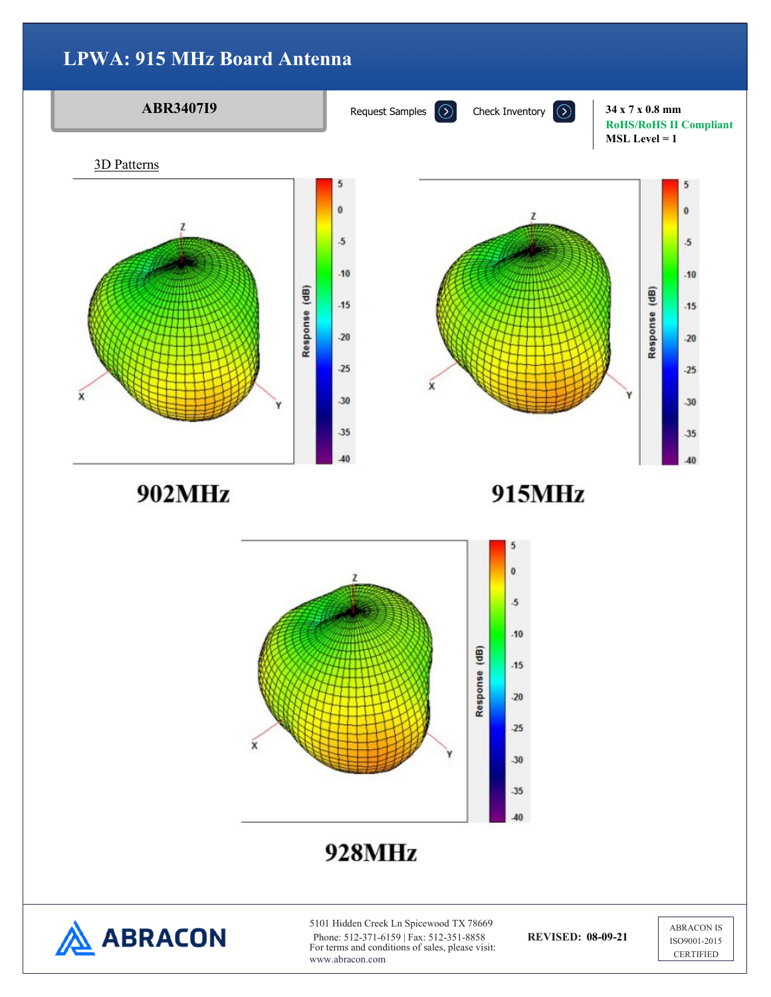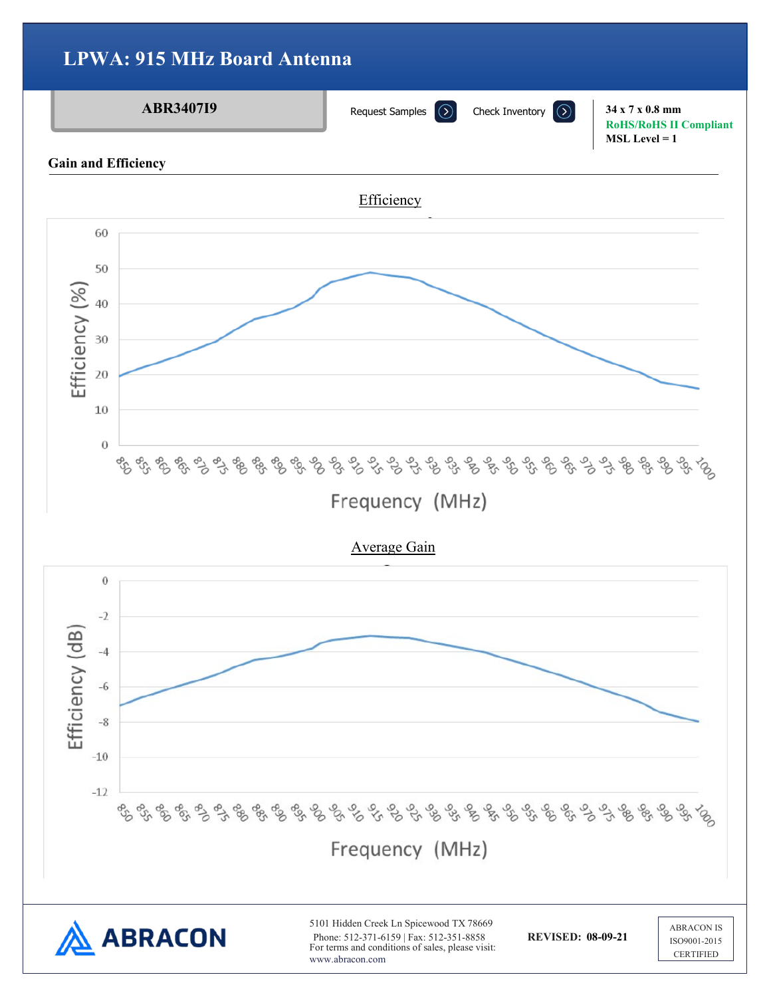